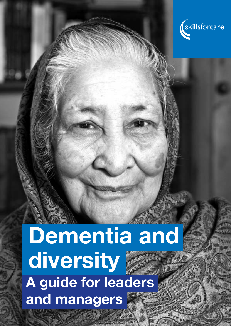

# Dementia and diversity A guide for leaders and managers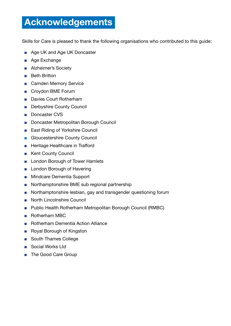# Acknowledgements

Skills for Care is pleased to thank the following organisations who contributed to this guide:

- Age UK and Age UK Doncaster
- Age Exchange
- Alzheimer's Society
- Beth Britton
- Camden Memory Service
- Croydon BME Forum
- Davies Court Rotherham
- Derbyshire County Council
- Doncaster CVS
- Doncaster Metropolitan Borough Council
- East Riding of Yorkshire Council
- Gloucestershire County Council
- Heritage Healthcare in Trafford
- Kent County Council
- London Borough of Tower Hamlets
- London Borough of Havering
- Mindcare Dementia Support
- Northamptonshire BME sub regional partnership
- Northamptonshire lesbian, gay and transgender questioning forum
- North Lincolnshire Council
- Public Health Rotherham Metropolitan Borough Council (RMBC)
- Rotherham MBC
- Rotherham Dementia Action Alliance
- Royal Borough of Kingston
- South Thames College
- Social Works Ltd
- The Good Care Group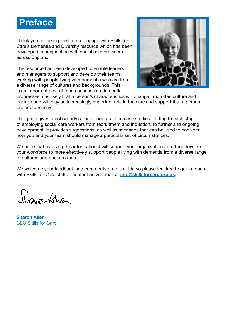

Thank you for taking the time to engage with Skills for Care's Dementia and Diversity resource which has been developed in conjunction with social care providers across England.

The resource has been developed to enable leaders and managers to support and develop their teams working with people living with dementia who are from a diverse range of cultures and backgrounds. This is an important area of focus because as dementia



progresses, it is likely that a person's characteristics will change, and often culture and background will play an increasingly important role in the care and support that a person prefers to receive.

The guide gives practical advice and good practice case studies relating to each stage of employing social care workers from recruitment and induction, to further and ongoing development. It provides suggestions, as well as scenarios that can be used to consider how you and your team should manage a particular set of circumstances.

We hope that by using this information it will support your organisation to further develop your workforce to more effectively support people living with dementia from a diverse range of cultures and backgrounds.

We welcome your feedback and comments on this guide so please feel free to get in touch with Skills for Care staff or contact us via email at **[info@skillsforcare.org.uk](mailto:info@skillsforcare.org.uk)**.

Joan Alex

Sharon Allen CEO Skills for Care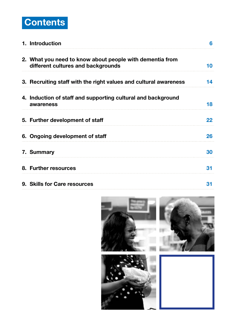

| 1. Introduction                                                                                | 6  |
|------------------------------------------------------------------------------------------------|----|
| 2. What you need to know about people with dementia from<br>different cultures and backgrounds | 10 |
| 3. Recruiting staff with the right values and cultural awareness                               | 14 |
| 4. Induction of staff and supporting cultural and background<br>awareness                      | 18 |
| 5. Further development of staff                                                                | 22 |
| 6. Ongoing development of staff                                                                | 26 |
| 7. Summary                                                                                     | 30 |
| 8. Further resources                                                                           | 31 |
| 9. Skills for Care resources                                                                   | 31 |

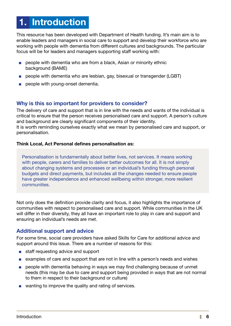# 1. Introduction

This resource has been developed with Department of Health funding. It's main aim is to enable leaders and managers in social care to support and develop their workforce who are working with people with dementia from different cultures and backgrounds. The particular focus will be for leaders and managers supporting staff working with:

- people with dementia who are from a black, Asian or minority ethnic background (BAME)
- people with dementia who are lesbian, gay, bisexual or transgender (LGBT)
- people with young-onset dementia.

#### Why is this so important for providers to consider?

The delivery of care and support that is in line with the needs and wants of the individual is critical to ensure that the person receives personalised care and support. A person's culture and background are clearly significant components of their identity. It is worth reminding ourselves exactly what we mean by personalised care and support, or personalisation.

#### Think Local, Act Personal defines personalisation as:

Personalisation is fundamentally about better lives, not services. It means working with people, carers and families to deliver better outcomes for all. It is not simply about changing systems and processes or an individual's funding through personal budgets and direct payments, but includes all the changes needed to ensure people have greater independence and enhanced wellbeing within stronger, more resilient communities.

Not only does the definition provide clarity and focus, it also highlights the importance of communities with respect to personalised care and support. While communities in the UK will differ in their diversity, they all have an important role to play in care and support and ensuring an individual's needs are met.

#### Additional support and advice

For some time, social care providers have asked Skills for Care for additional advice and support around this issue. There are a number of reasons for this:

- staff requesting advice and support
- examples of care and support that are not in line with a person's needs and wishes
- people with dementia behaving in ways we may find challenging because of unmet needs (this may be due to care and support being provided in ways that are not normal to them in respect to their background or culture)
- wanting to improve the quality and rating of services.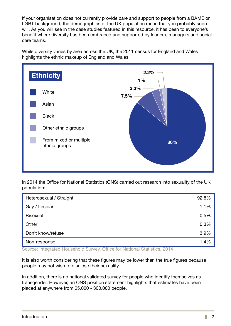If your organisation does not currently provide care and support to people from a BAME or LGBT background, the demographics of the UK population mean that you probably soon will. As you will see in the case studies featured in this resource, it has been to everyone's benefit where diversity has been embraced and supported by leaders, managers and social care teams.

While diversity varies by area across the UK, the 2011 census for England and Wales highlights the ethnic makeup of England and Wales:



In 2014 the Office for National Statistics (ONS) carried out research into sexuality of the UK population:

| Heterosexual / Straight |      |
|-------------------------|------|
| Gay / Lesbian           |      |
| <b>Bisexual</b>         | 0.5% |
| Other                   | 0.3% |
| Don't know/refuse       | 3.9% |
| Non-response            |      |

Source: Integrated Household Survey, Office for National Statistics, 2014

It is also worth considering that these figures may be lower than the true figures because people may not wish to disclose their sexuality.

In addition, there is no national validated survey for people who identify themselves as transgender. However, an ONS position statement highlights that estimates have been placed at anywhere from 65,000 - 300,000 people.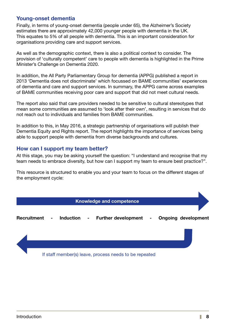#### Young-onset dementia

Finally, in terms of young-onset dementia (people under 65), the Alzheimer's Society estimates there are approximately 42,000 younger people with dementia in the UK. This equates to 5% of all people with dementia. This is an important consideration for organisations providing care and support services.

As well as the demographic context, there is also a political context to consider. The provision of 'culturally competent' care to people with dementia is highlighted in the Prime Minister's Challenge on Dementia 2020.

In addition, the All Party Parliamentary Group for dementia (APPG) published a report in 2013 'Dementia does not discriminate' which focussed on BAME communities' experiences of dementia and care and support services. In summary, the APPG came across examples of BAME communities receiving poor care and support that did not meet cultural needs.

The report also said that care providers needed to be sensitive to cultural stereotypes that mean some communities are assumed to 'look after their own', resulting in services that do not reach out to individuals and families from BAME communities.

In addition to this, in May 2016, a strategic partnership of organisations will publish their Dementia Equity and Rights report. The report highlights the importance of services being able to support people with dementia from diverse backgrounds and cultures.

#### How can I support my team better?

At this stage, you may be asking yourself the question: "I understand and recognise that my team needs to embrace diversity, but how can I support my team to ensure best practice?".

This resource is structured to enable you and your team to focus on the different stages of the employment cycle:

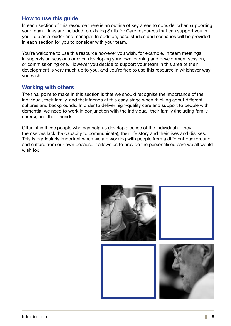#### How to use this guide

In each section of this resource there is an outline of key areas to consider when supporting your team. Links are included to existing Skills for Care resources that can support you in your role as a leader and manager. In addition, case studies and scenarios will be provided in each section for you to consider with your team.

You're welcome to use this resource however you wish, for example, in team meetings, in supervision sessions or even developing your own learning and development session, or commissioning one. However you decide to support your team in this area of their development is very much up to you, and you're free to use this resource in whichever way you wish.

#### Working with others

The final point to make in this section is that we should recognise the importance of the individual, their family, and their friends at this early stage when thinking about different cultures and backgrounds. In order to deliver high-quality care and support to people with dementia, we need to work in conjunction with the individual, their family (including family carers), and their friends.

Often, it is these people who can help us develop a sense of the individual (if they themselves lack the capacity to communicate), their life story and their likes and dislikes. This is particularly important when we are working with people from a different background and culture from our own because it allows us to provide the personalised care we all would wish for.

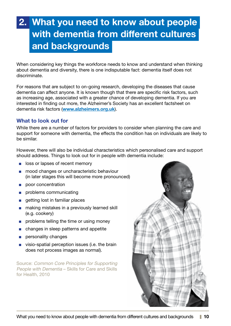# 2. What you need to know about people with dementia from different cultures and backgrounds

When considering key things the workforce needs to know and understand when thinking about dementia and diversity, there is one indisputable fact: dementia itself does not discriminate.

For reasons that are subject to on-going research, developing the diseases that cause dementia can affect anyone. It is known though that there are specific risk factors, such as increasing age, associated with a greater chance of developing dementia. If you are interested in finding out more, the Alzheimer's Society has an excellent factsheet on dementia risk factors (www.alzheimers.org.uk).

#### What to look out for

While there are a number of factors for providers to consider when planning the care and support for someone with dementia, the effects the condition has on individuals are likely to be similar.

However, there will also be individual characteristics which personalised care and support should address. Things to look out for in people with dementia include:

- loss or lapses of recent memory
- mood changes or uncharacteristic behaviour (in later stages this will become more pronounced)
- poor concentration
- problems communicating
- getting lost in familiar places
- making mistakes in a previously learned skill (e.g. cookery)
- problems telling the time or using money
- changes in sleep patterns and appetite
- personality changes
- visio-spatial perception issues (i.e. the brain does not process images as normal).

Source: Common Core Principles for Supporting People with Dementia – Skills for Care and Skills for Health, 2010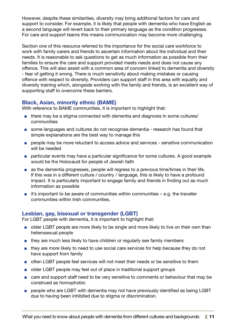However, despite these similarities, diversity may bring additional factors for care and support to consider. For example, it is likely that people with dementia who have English as a second language will revert back to their primary language as the condition progresses. For care and support teams this means communication may become more challenging.

Section one of this resource referred to the importance for the social care workforce to work with family carers and friends to ascertain information about the individual and their needs. It is reasonable to ask questions to get as much information as possible from their families to ensure the care and support provided meets needs and does not cause any offence. This will also assist with a common area of concern linked to dementia and diversity - fear of getting it wrong. There is much sensitivity about making mistakes or causing offence with respect to diversity. Providers can support staff in this area with equality and diversity training which, alongside working with the family and friends, is an excellent way of supporting staff to overcome these barriers.

#### Black, Asian, minority ethnic (BAME)

With reference to BAME communities, it is important to highlight that:

- there may be a stigma connected with dementia and diagnosis in some cultures/ communities
- some languages and cultures do not recognise dementia research has found that simple explanations are the best way to manage this
- people may be more reluctant to access advice and services sensitive communication will be needed
- particular events may have a particular significance for some cultures. A good example would be the Holocaust for people of Jewish faith
- as the dementia progresses, people will regress to a previous time/times in their life. If this was in a different culture / country / language, this is likely to have a profound impact. It is particularly important to engage family and friends in finding out as much information as possible
- $\blacksquare$  it's important to be aware of communities within communities e.g. the traveller communities within Irish communities.

#### Lesbian, gay, bisexual or transgender (LGBT)

For LGBT people with dementia, it is important to highlight that:

- older LGBT people are more likely to be single and more likely to live on their own than heterosexual people
- they are much less likely to have children or regularly see family members
- they are more likely to need to use social care services for help because they do not have support from family
- often LGBT people feel services will not meet their needs or be sensitive to them
- older LGBT people may feel out of place in traditional support groups
- care and support staff need to be very sensitive to comments or behaviour that may be construed as homophobic
- people who are LGBT with dementia may not have previously identified as being LGBT due to having been inhibited due to stigma or discrimination.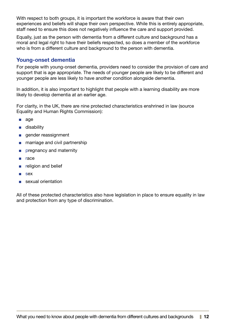With respect to both groups, it is important the workforce is aware that their own experiences and beliefs will shape their own perspective. While this is entirely appropriate, staff need to ensure this does not negatively influence the care and support provided.

Equally, just as the person with dementia from a different culture and background has a moral and legal right to have their beliefs respected, so does a member of the workforce who is from a different culture and background to the person with dementia.

#### Young-onset dementia

For people with young-onset dementia, providers need to consider the provision of care and support that is age appropriate. The needs of younger people are likely to be different and younger people are less likely to have another condition alongside dementia.

In addition, it is also important to highlight that people with a learning disability are more likely to develop dementia at an earlier age.

For clarity, in the UK, there are nine protected characteristics enshrined in law (source Equality and Human Rights Commission):

- age
- disability
- gender reassignment
- marriage and civil partnership
- pregnancy and maternity
- race
- religion and belief
- sex
- sexual orientation

All of these protected characteristics also have legislation in place to ensure equality in law and protection from any type of discrimination.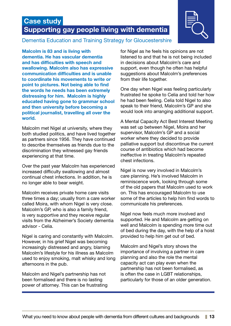## Case study Supporting gay people living with dementia



#### Dementia Education and Training Strategy for Gloucestershire

Malcolm is 83 and is living with dementia. He has vascular dementia and has difficulties with speech and swallowing. Malcolm also has expressive communication difficulties and is unable to coordinate his movements to write or point to pictures. Not being able to find the words he needs has been extremely distressing for him. Malcolm is highly educated having gone to grammar school and then university before becoming a political journalist, travelling all over the world.

Malcolm met Nigel at university, where they both studied politics, and have lived together as partners since 1956. They have continued to describe themselves as friends due to the discrimination they witnessed gay friends experiencing at that time.

Over the past year Malcolm has experienced increased difficulty swallowing and almost continual chest infections. In addition, he is no longer able to bear weight.

Malcolm receives private home care visits three times a day; usually from a care worker called Moira, with whom Nigel is very close. Malcolm's GP, who is also a family friend, is very supportive and they receive regular visits from the Alzheimer's Society dementia advisor - Celia.

Nigel is caring and constantly with Malcolm. However, in his grief Nigel was becoming increasingly distressed and angry, blaming Malcolm's lifestyle for his illness as Malcolm used to enjoy smoking, malt whisky and long afternoons in the pub.

Malcolm and Nigel's partnership has not been formalised and there is no lasting power of attorney. This can be frustrating for Nigel as he feels his opinions are not listened to and that he is not being included in decisions about Malcolm's care and support, even though he often has helpful suggestions about Malcolm's preferences from their life together.

One day when Nigel was feeling particularly frustrated he spoke to Celia and told her how he had been feeling. Celia told Nigel to also speak to their friend, Malcolm's GP and she would look into arranging additional support.

A Mental Capacity Act Best Interest Meeting was set up between Nigel, Moira and her supervisor, Malcolm's GP and a social worker where they decided to provide palliative support but discontinue the current course of antibiotics which had become ineffective in treating Malcolm's repeated chest infections.

Nigel is now very involved in Malcolm's care planning. He's involved Malcolm in reminiscence work, looking through some of the old papers that Malcolm used to work on. This has encouraged Malcolm to use some of the articles to help him find words to communicate his preferences.

Nigel now feels much more involved and supported. He and Malcolm are getting on well and Malcolm is spending more time out of bed during the day, with the help of a hoist provided to help him get out of bed.

Malcolm and Nigel's story shows the importance of involving a partner in care planning and also the role the mental capacity act can play even when the partnership has not been formalised, as is often the case in LGBT relationships, particularly for those of an older generation.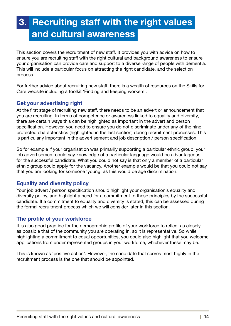# 3. Recruiting staff with the right values and cultural awareness

This section covers the recruitment of new staff. It provides you with advice on how to ensure you are recruiting staff with the right cultural and background awareness to ensure your organisation can provide care and support to a diverse range of people with dementia. This will include a particular focus on attracting the right candidate, and the selection process.

For further advice about recruiting new staff, there is a wealth of resources on the Skills for Care website including a toolkit 'Finding and keeping workers'.

#### Get your advertising right

At the first stage of recruiting new staff, there needs to be an advert or announcement that you are recruiting. In terms of competence or awareness linked to equality and diversity, there are certain ways this can be highlighted as important in the advert and person specification. However, you need to ensure you do not discriminate under any of the nine protected characteristics (highlighted in the last section) during recruitment processes. This is particularly important in the advertisement and job description / person specification.

So for example if your organisation was primarily supporting a particular ethnic group, your job advertisement could say knowledge of a particular language would be advantageous for the successful candidate. What you could not say is that only a member of a particular ethnic group could apply for the vacancy. Another example would be that you could not say that you are looking for someone 'young' as this would be age discrimination.

#### Equality and diversity policy

Your job advert / person specification should highlight your organisation's equality and diversity policy, and highlight a need for a commitment to these principles by the successful candidate. If a commitment to equality and diversity is stated, this can be assessed during the formal recruitment process which we will consider later in this section.

#### The profile of your workforce

It is also good practice for the demographic profile of your workforce to reflect as closely as possible that of the community you are operating in, so it is representative. So while highlighting a commitment to equal opportunities, you could also highlight that you welcome applications from under represented groups in your workforce, whichever these may be.

This is known as 'positive action'. However, the candidate that scores most highly in the recruitment process is the one that should be appointed.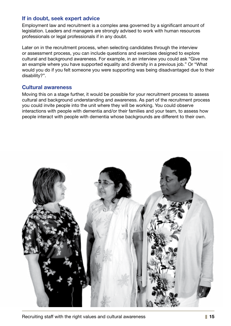#### If in doubt, seek expert advice

Employment law and recruitment is a complex area governed by a significant amount of legislation. Leaders and managers are strongly advised to work with human resources professionals or legal professionals if in any doubt.

Later on in the recruitment process, when selecting candidates through the interview or assessment process, you can include questions and exercises designed to explore cultural and background awareness. For example, in an interview you could ask "Give me an example where you have supported equality and diversity in a previous job." Or "What would you do if you felt someone you were supporting was being disadvantaged due to their disability?".

#### Cultural awareness

Moving this on a stage further, it would be possible for your recruitment process to assess cultural and background understanding and awareness. As part of the recruitment process you could invite people into the unit where they will be working. You could observe interactions with people with dementia and/or their families and your team, to assess how people interact with people with dementia whose backgrounds are different to their own.

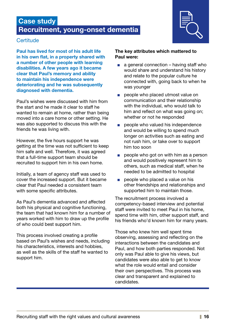### Case study Recruitment, young-onset dementia



#### **Certitude**

Paul has lived for most of his adult life in his own flat, in a property shared with a number of other people with learning disabilities. A few years ago it became clear that Paul's memory and ability to maintain his independence were deteriorating and he was subsequently diagnosed with dementia.

Paul's wishes were discussed with him from the start and he made it clear to staff he wanted to remain at home, rather than being moved into a care home or other setting. He was also supported to discuss this with the friends he was living with.

However, the five hours support he was getting at the time was not sufficient to keep him safe and well. Therefore, it was agreed that a full-time support team should be recruited to support him in his own home.

Initially, a team of agency staff was used to cover the increased support. But it became clear that Paul needed a consistent team with some specific attributes.

As Paul's dementia advanced and affected both his physical and cognitive functioning, the team that had known him for a number of years worked with him to draw up the profile of who could best support him.

This process involved creating a profile based on Paul's wishes and needs, including his characteristics, interests and hobbies, as well as the skills of the staff he wanted to support him.

#### The key attributes which mattered to Paul were:

- $\Box$  a general connection having staff who would share and understand his history and relate to the popular culture he connected with, going back to when he was younger
- people who placed utmost value on communication and their relationship with the individual, who would talk to him and reflect on what was going on; whether or not he responded
- people who valued his independence and would be willing to spend much longer on activities such as eating and not rush him, or take over to support him too soon
- people who got on with him as a person and would positively represent him to others, such as medical staff, when he needed to be admitted to hospital
- people who placed a value on his other friendships and relationships and supported him to maintain those.

The recruitment process involved a competency-based interview and potential staff were invited to meet Paul in his home, spend time with him, other support staff, and his friends who'd known him for many years.

Those who knew him well spent time observing, assessing and reflecting on the interactions between the candidates and Paul, and how both parties responded. Not only was Paul able to give his views, but candidates were also able to get to know what the role would entail and consider their own perspectives. This process was clear and transparent and explained to candidates.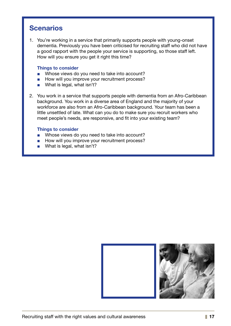### **Scenarios**

1. You're working in a service that primarily supports people with young-onset dementia. Previously you have been criticised for recruiting staff who did not have a good rapport with the people your service is supporting, so those staff left. How will you ensure you get it right this time?

#### Things to consider

- Whose views do you need to take into account?
- How will you improve your recruitment process?
- What is legal, what isn't?
- 2. You work in a service that supports people with dementia from an Afro-Caribbean background. You work in a diverse area of England and the majority of your workforce are also from an Afro-Caribbean background. Your team has been a little unsettled of late. What can you do to make sure you recruit workers who meet people's needs, are responsive, and fit into your existing team?

#### Things to consider

- Whose views do you need to take into account?
- How will you improve your recruitment process?
- What is legal, what isn't?

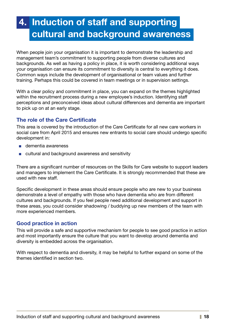# 4. Induction of staff and supporting cultural and background awareness

When people join your organisation it is important to demonstrate the leadership and management team's commitment to supporting people from diverse cultures and backgrounds. As well as having a policy in place, it is worth considering additional ways your organisation can ensure its commitment to diversity is central to everything it does. Common ways include the development of organisational or team values and further training. Perhaps this could be covered in team meetings or in supervision settings.

With a clear policy and commitment in place, you can expand on the themes highlighted within the recruitment process during a new employee's induction. Identifying staff perceptions and preconceived ideas about cultural differences and dementia are important to pick up on at an early stage.

#### The role of the Care Certificate

This area is covered by the introduction of the Care Certificate for all new care workers in social care from April 2015 and ensures new entrants to social care should undergo specific development in:

- dementia awareness
- cultural and background awareness and sensitivity

There are a significant number of resources on the Skills for Care website to support leaders and managers to implement the Care Certificate. It is strongly recommended that these are used with new staff.

Specific development in these areas should ensure people who are new to your business demonstrate a level of empathy with those who have dementia who are from different cultures and backgrounds. If you feel people need additional development and support in these areas, you could consider shadowing / buddying up new members of the team with more experienced members.

#### Good practice in action

This will provide a safe and supportive mechanism for people to see good practice in action and most importantly ensure the culture that you want to develop around dementia and diversity is embedded across the organisation.

With respect to dementia and diversity, it may be helpful to further expand on some of the themes identified in section two.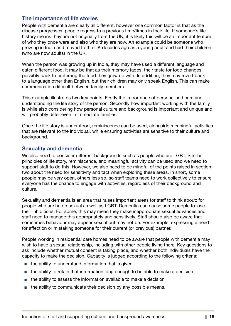#### The importance of life stories

People with dementia are clearly all different, however one common factor is that as the disease progresses, people regress to a previous time/times in their life. If someone's life history means they are not originally from the UK, it is likely this will be an important feature of who they once were and also who they are now. An example could be someone who grew up in India and moved to the UK decades ago as a young adult and had their children (who are now adults) in the UK.

When the person was growing up in India, they may have used a different language and eaten different food. It may be that as their memory fades, their taste for food changes, possibly back to preferring the food they grew up with. In addition, they may revert back to a language other than English, but their children may only speak English. This can make communication difficult between family members.

This example illustrates two key points. Firstly the importance of personalised care and understanding the life story of the person. Secondly how important working with the family is while also considering how personal culture and background is important and unique and will probably differ even in immediate families.

Once the life story is understood, reminiscence can be used, alongside meaningful activities that are relevant to the individual, while ensuring activities are sensitive to their culture and background.

#### Sexuality and dementia

We also need to consider different backgrounds such as people who are LGBT. Similar principles of life story, reminiscence, and meaningful activity can be used and we need to support staff to do this. However, we also need to be mindful of the points raised in section two about the need for sensitivity and tact when exploring these areas. In short, some people may be very open, others less so, so staff teams need to work collectively to ensure everyone has the chance to engage with activities, regardless of their background and culture.

Sexuality and dementia is an area that raises important areas for staff to think about; for people who are heterosexual as well as LGBT. Dementia can cause some people to lose their inhibitions. For some, this may mean they make inappropriate sexual advances and staff need to manage this appropriately and sensitively. Staff should also be aware that sometimes behaviour may appear sexual but may not be. For example, expressing a need for affection or mistaking someone for their current (or previous) partner.

People working in residential care homes need to be aware that people with dementia may wish to have a sexual relationship, including with other people living there. Key questions to ask include whether mutual consent is taking place, and whether both individuals have the capacity to make the decision. Capacity is judged according to the following criteria:

- the ability to understand information that is given
- the ability to retain that information long enough to be able to make a decision
- the ability to assess the information available to make a decision
- the ability to communicate their decision by any possible means.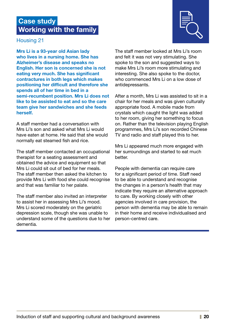### Case study Working with the family



#### Housing 21

Mrs Li is a 93-year old Asian lady who lives in a nursing home. She has Alzheimer's disease and speaks no English. Her son is concerned she is not eating very much. She has significant contractures in both legs which makes positioning her difficult and therefore she spends all of her time in bed in a semi-recumbent position. Mrs Li does not like to be assisted to eat and so the care team give her sandwiches and she feeds herself.

A staff member had a conversation with Mrs Li's son and asked what Mrs Li would have eaten at home. He said that she would normally eat steamed fish and rice.

The staff member contacted an occupational therapist for a seating assessment and obtained the advice and equipment so that Mrs Li could sit out of bed for her meals. The staff member then asked the kitchen to provide Mrs Li with food she could recognise and that was familiar to her palate.

The staff member also invited an interpreter to assist her in assessing Mrs Li's mood. Mrs Li scored moderately on the geriatric depression scale, though she was unable to understand some of the questions due to her dementia.

The staff member looked at Mrs Li's room and felt it was not very stimulating. She spoke to the son and suggested ways to make Mrs Li's room more stimulating and interesting. She also spoke to the doctor, who commenced Mrs Li on a low dose of antidepressants.

After a month, Mrs Li was assisted to sit in a chair for her meals and was given culturally appropriate food. A mobile made from crystals which caught the light was added to her room, giving her something to focus on. Rather than the television playing English programmes, Mrs Li's son recorded Chinese TV and radio and staff played this to her.

Mrs Li appeared much more engaged with her surroundings and started to eat much better.

People with dementia can require care for a significant period of time. Staff need to be able to understand and recognise the changes in a person's health that may indicate they require an alternative approach to care. By working closely with other agencies involved in care provision, the person with dementia may be able to remain in their home and receive individualised and person-centred care.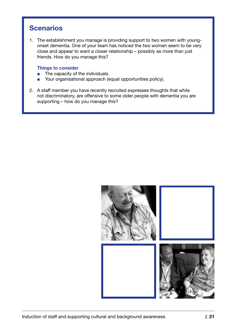### **Scenarios**

1. The establishment you manage is providing support to two women with youngonset dementia. One of your team has noticed the two women seem to be very close and appear to want a closer relationship – possibly as more than just friends. How do you manage this?

#### Things to consider

- The capacity of the individuals.
- Your organisational approach (equal opportunities policy).
- 2. A staff member you have recently recruited expresses thoughts that while not discriminatory, are offensive to some older people with dementia you are supporting – how do you manage this?

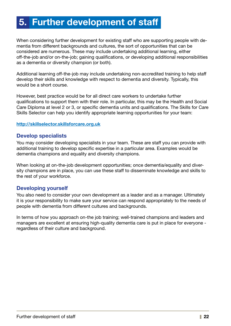# 5. Further development of staff

When considering further development for existing staff who are supporting people with dementia from different backgrounds and cultures, the sort of opportunities that can be considered are numerous. These may include undertaking additional learning, either off-the-job and/or on-the-job; gaining qualifications, or developing additional responsibilities as a dementia or diversity champion (or both).

Additional learning off-the-job may include undertaking non-accredited training to help staff develop their skills and knowledge with respect to dementia and diversity. Typically, this would be a short course.

However, best practice would be for all direct care workers to undertake further qualifications to support them with their role. In particular, this may be the Health and Social Care Diploma at level 2 or 3, or specific dementia units and qualifications. The Skills for Care Skills Selector can help you identify appropriate learning opportunities for your team:

#### http://skillselector.skillsforcare.org.uk

#### Develop specialists

You may consider developing specialists in your team. These are staff you can provide with additional training to develop specific expertise in a particular area. Examples would be dementia champions and equality and diversity champions.

When looking at on-the-job development opportunities; once dementia/equality and diversity champions are in place, you can use these staff to disseminate knowledge and skills to the rest of your workforce.

#### Developing yourself

You also need to consider your own development as a leader and as a manager. Ultimately it is your responsibility to make sure your service can respond appropriately to the needs of people with dementia from different cultures and backgrounds.

In terms of how you approach on-the job training; well-trained champions and leaders and managers are excellent at ensuring high-quality dementia care is put in place for everyone regardless of their culture and background.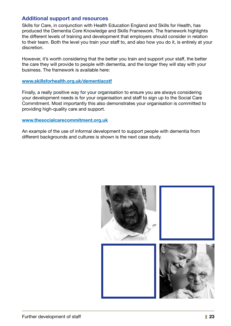#### Additional support and resources

Skills for Care, in conjunction with Health Education England and Skills for Health, has produced the Dementia Core Knowledge and Skills Framework. The framework highlights the different levels of training and development that employers should consider in relation to their team. Both the level you train your staff to, and also how you do it, is entirely at your discretion.

However, it's worth considering that the better you train and support your staff, the better the care they will provide to people with dementia, and the longer they will stay with your business. The framework is available here:

#### www.skillsforhealth.org.uk/dementiacstf

Finally, a really positive way for your organisation to ensure you are always considering your development needs is for your organisation and staff to sign up to the Social Care Commitment. Most importantly this also demonstrates your organisation is committed to providing high-quality care and support.

#### www.thesocialcarecommitment.org.uk

An example of the use of informal development to support people with dementia from different backgrounds and cultures is shown is the next case study.

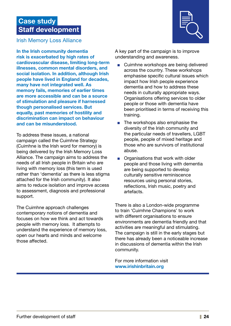### Case study Staff development



Irish Memory Loss Alliance

In the Irish community dementia risk is exacerbated by high rates of cardiovascular disease, limiting long-term illnesses, common mental disorders, and social isolation. In addition, although Irish people have lived in England for decades, many have not integrated well. As memory fails, memories of earlier times are more accessible and can be a source of stimulation and pleasure if harnessed though personalised services. But equally, past memories of hostility and discrimination can impact on behaviour and can be misunderstood.

To address these issues, a national campaign called the Cuimhne Strategy (Cuimhne is the Irish word for memory) is being delivered by the Irish Memory Loss Alliance. The campaign aims to address the needs of all Irish people in Britain who are living with memory loss (this term is used rather than 'dementia' as there is less stigma attached for the Irish community). It also aims to reduce isolation and improve access to assessment, diagnosis and professional support.

The Cuimhne approach challenges contemporary notions of dementia and focuses on how we think and act towards people with memory loss. It attempts to understand the experience of memory loss, open our hearts and minds and welcome those affected.

A key part of the campaign is to improve understanding and awareness.

- Cuimhne workshops are being delivered across the country. These workshops emphasise specific cultural issues which impact how Irish people experience dementia and how to address these needs in culturally appropriate ways. Organisations offering services to older people or those with dementia have been prioritised in terms of receiving this training.
- The workshops also emphasise the diversity of the Irish community and the particular needs of travellers, LGBT people, people of mixed heritage and those who are survivors of institutional abuse.
- Organisations that work with older people and those living with dementia are being supported to develop culturally sensitive reminiscence resources using personal stories, reflections, Irish music, poetry and artefacts.

There is also a London-wide programme to train 'Cuimhne Champions' to work with different organisations to ensure environments are dementia friendly and that activities are meaningful and stimulating. The campaign is still in the early stages but there has already been a noticeable increase in discussions of dementia within the Irish community.

For more information visit www.irishinbritain.org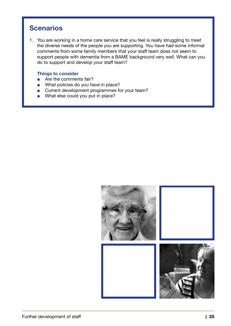### **Scenarios**

1. You are working in a home care service that you feel is really struggling to meet the diverse needs of the people you are supporting. You have had some informal comments from some family members that your staff team does not seem to support people with dementia from a BAME background very well. What can you do to support and develop your staff team?

#### Things to consider

- Are the comments fair?
- What policies do you have in place?
- Current development programmes for your team?
- What else could you put in place?

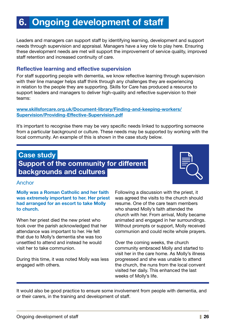# 6. Ongoing development of staff

Leaders and managers can support staff by identifying learning, development and support needs through supervision and appraisal. Managers have a key role to play here. Ensuring these development needs are met will support the improvement of service quality, improved staff retention and increased continuity of care.

#### Reflective learning and effective supervision

For staff supporting people with dementia, we know reflective learning through supervision with their line manager helps staff think through any challenges they are experiencing in relation to the people they are supporting. Skills for Care has produced a resource to support leaders and managers to deliver high-quality and reflective supervision to their teams:

#### [www.skillsforcare.org.uk/Document-library/Finding-and-keeping-workers/](www.skillsforcare.org.uk/Document-library/Finding-and-keeping-workers/Supervision/Providing-Effective-Supervision.pdf) [Supervision/Providing-Effective-Supervision.pdf](www.skillsforcare.org.uk/Document-library/Finding-and-keeping-workers/Supervision/Providing-Effective-Supervision.pdf)

It's important to recognise there may be very specific needs linked to supporting someone from a particular background or culture. These needs may be supported by working with the local community. An example of this is shown in the case study below.

### Case study Support of the community for different backgrounds and cultures



#### Anchor

Molly was a Roman Catholic and her faith was extremely important to her. Her priest had arranged for an escort to take Molly to church.

When her priest died the new priest who took over the parish acknowledged that her attendance was important to her. He felt that due to Molly's dementia she was too unsettled to attend and instead he would visit her to take communion.

During this time, it was noted Molly was less engaged with others.

Following a discussion with the priest, it was agreed the visits to the church should resume. One of the care team members who shared Molly's faith attended the church with her. From arrival, Molly became animated and engaged in her surroundings. Without prompts or support, Molly received communion and could recite whole prayers.

Over the coming weeks, the church community embraced Molly and started to visit her in the care home. As Molly's illness progressed and she was unable to attend the church, the nuns from the local convent visited her daily. This enhanced the last weeks of Molly's life.

It would also be good practice to ensure some involvement from people with dementia, and or their carers, in the training and development of staff.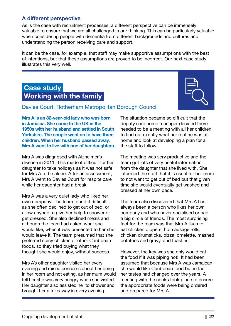#### A different perspective

As is the case with recruitment processes, a different perspective can be immensely valuable to ensure that we are all challenged in our thinking. This can be particularly valuable when considering people with dementia from different backgrounds and cultures and understanding the person receiving care and support.

It can be the case, for example, that staff may make supportive assumptions with the best of intentions, but that these assumptions are proved to be incorrect. Our next case study illustrates this very well.

### Case study Working with the family



#### Davies Court, Rotherham Metropolitan Borough Council

Mrs A is an 82-year-old lady who was born in Jamaica. She came to the UK in the 1950s with her husband and settled in South Yorkshire. The couple went on to have three children. When her husband passed away, Mrs A went to live with one of her daughters.

Mrs A was diagnosed with Alzheimer's disease in 2011. This made it difficult for her daughter to take holidays as it was not safe for Mrs A to be alone. After an assessment, Mrs A went to Davies Court for respite care while her daughter had a break.

Mrs A was a very quiet lady who liked her own company. The team found it difficult as she often declined to get out of bed, or allow anyone to give her help to shower or get dressed. She also declined meals and although the team had asked what she would like, when it was presented to her she would leave it. The team presumed that she preferred spicy chicken or other Caribbean foods, so they tried buying what they thought she would enjoy, without success.

Mrs A's other daughter visited her every evening and raised concerns about her being in her room and not eating, as her mum would tell her she was very hungry when she visited. Her daughter also assisted her to shower and brought her a takeaway in every evening.

The situation became so difficult that the deputy care home manager decided there needed to be a meeting with all her children to find out exactly what her routine was at home and look at developing a plan for all the staff to follow.

The meeting was very productive and the team got lots of very useful information from the daughter that she lived with. She informed the staff that it is usual for her mum to not want to get out of bed but that given time she would eventually get washed and dressed at her own pace.

The team also discovered that Mrs A has always been a person who likes her own company and who never socialised or had a big circle of friends. The most surprising fact for the team was that Mrs A likes to eat chicken dippers, hot sausage rolls, chicken drumsticks, pizza, omelette, mashed potatoes and gravy, and toasties.

However, the key was she only would eat the food if it was piping hot! It had been assumed that because Mrs A was Jamaican she would like Caribbean food but in fact her tastes had changed over the years. A meeting with the cooks took place to ensure the appropriate foods were being ordered and prepared for Mrs A.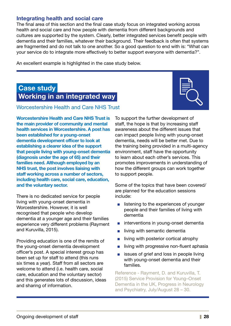#### Integrating health and social care

The final area of this section and the final case study focus on integrated working across health and social care and how people with dementia from different backgrounds and cultures are supported by the system. Clearly, better integrated services benefit people with dementia and their families, whatever their background. Their feedback is often that systems are fragmented and do not talk to one another. So a good question to end with is: "What can your service do to integrate more effectively to better support everyone with dementia?".

An excellent example is highlighted in the case study below.

### Case study Working in an integrated way

#### Worcestershire Health and Care NHS Trust

Worcestershire Health and Care NHS Trust is the main provider of community and mental health services in Worcestershire. A post has been established for a young-onset dementia development officer to look at establishing a clearer idea of the support that people living with young-onset dementia (diagnosis under the age of 65) and their families need. Although employed by an NHS trust, the post involves liaising with staff working across a number of sectors, including health care, social care, education, and the voluntary sector.

There is no dedicated service for people living with young-onset dementia in Worcestershire. However, it is well recognised that people who develop dementia at a younger age and their families experience very different problems (Rayment and Kuruvilla, 2015).

Providing education is one of the remits of the young-onset dementia development officer's post. A special interest group has been set up for staff to attend (this runs six times a year). Staff from all sectors are welcome to attend (i.e. health care, social care, education and the voluntary sector) and this generates lots of discussion, ideas and sharing of information.



To support the further development of staff, the hope is that by increasing staff awareness about the different issues that can impact people living with young-onset dementia, needs will be better met. Due to the training being provided in a multi-agency environment, staff have the opportunity to learn about each other's services. This promotes improvements in understanding of how the different groups can work together to support people.

Some of the topics that have been covered/ are planned for the education sessions include:

- listening to the experiences of younger people and their families of living with dementia
- interventions in young-onset dementia
- living with semantic dementia
- living with posterior cortical atrophy
- living with progressive non-fluent aphasia
- issues of grief and loss in people living with young-onset dementia and their families.

Reference - Rayment, D. and Kuruvilla, T. (2015) Service Provision for Young–Onset Dementia in the UK, Progress in Neurology and Psychiatry, July/August 28 – 30.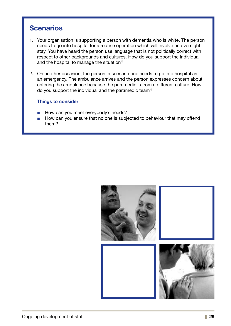### **Scenarios**

- 1. Your organisation is supporting a person with dementia who is white. The person needs to go into hospital for a routine operation which will involve an overnight stay. You have heard the person use language that is not politically correct with respect to other backgrounds and cultures. How do you support the individual and the hospital to manage the situation?
- 2. On another occasion, the person in scenario one needs to go into hospital as an emergency. The ambulance arrives and the person expresses concern about entering the ambulance because the paramedic is from a different culture. How do you support the individual and the paramedic team?

#### Things to consider

- How can you meet everybody's needs?
- How can you ensure that no one is subjected to behaviour that may offend them?

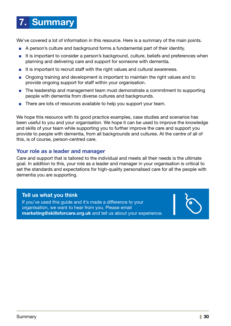# 7. Summary

We've covered a lot of information in this resource. Here is a summary of the main points.

- A person's culture and background forms a fundamental part of their identity.
- It is important to consider a person's background, culture, beliefs and preferences when planning and delivering care and support for someone with dementia.
- It is important to recruit staff with the right values and cultural awareness.
- Ongoing training and development is important to maintain the right values and to provide ongoing support for staff within your organisation.
- The leadership and management team must demonstrate a commitment to supporting people with dementia from diverse cultures and backgrounds.
- There are lots of resources available to help you support your team.

We hope this resource with its good practice examples, case studies and scenarios has been useful to you and your organisation. We hope it can be used to improve the knowledge and skills of your team while supporting you to further improve the care and support you provide to people with dementia, from all backgrounds and cultures. At the centre of all of this, is of course, person-centred care.

#### Your role as a leader and manager

Care and support that is tailored to the individual and meets all their needs is the ultimate goal. In addition to this, your role as a leader and manager in your organisation is critical to set the standards and expectations for high-quality personalised care for all the people with dementia you are supporting.

#### Tell us what you think

If you've used this guide and it's made a difference to your organisation, we want to hear from you. Please email marketing@skillsforcare.org.uk and tell us about your experience.

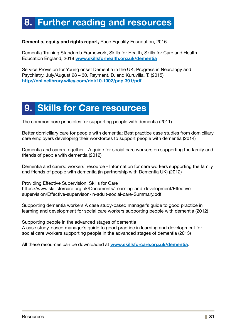# 8. Further reading and resources

#### [Dementia, equity and rights report](http://www.raceequalityfoundation.org.uk/sites/default/files/publications/downloads/Dementia%2520report%2520SCREEN.pdf%0D), Race Equality Foundation, 2016

Dementia Training Standards Framework, Skills for Health, Skills for Care and Health Education England, 2018 [www.skillsforhealth.org.uk/dementia](http://www.skillsforhealth.org.uk/services/item/176-dementia-core-skills-education-and-training-framework)

Service Provision for Young onset Dementia in the UK, Progress in Neurology and Psychiatry, July/August 28 – 30, Rayment, D. and Kuruvilla, T. (2015) http://onlinelibrary.wiley.com/doi/10.1002/pnp.391/pdf

# 9. Skills for Care resources

The common core principles for supporting people with dementia (2011)

Better domiciliary care for people with dementia; Best practice case studies from domiciliary care employers developing their workforces to support people with dementia (2014)

Dementia and carers together - A guide for social care workers on supporting the family and friends of people with dementia (2012)

Dementia and carers: workers' resource - Information for care workers supporting the family and friends of people with dementia (in partnership with Dementia UK) (2012)

Providing Effective Supervision, Skills for Care https://www.skillsforcare.org.uk/Documents/Learning-and-development/Effectivesupervision/Effective-supervison-in-adult-social-care-Summary.pdf

Supporting dementia workers A case study-based manager's guide to good practice in learning and development for social care workers supporting people with dementia (2012)

Supporting people in the advanced stages of dementia A case study-based manager's guide to good practice in learning and development for social care workers supporting people in the advanced stages of dementia (2013)

All these resources can be downloaded at www.skillsforcare.org.uk/dementia.